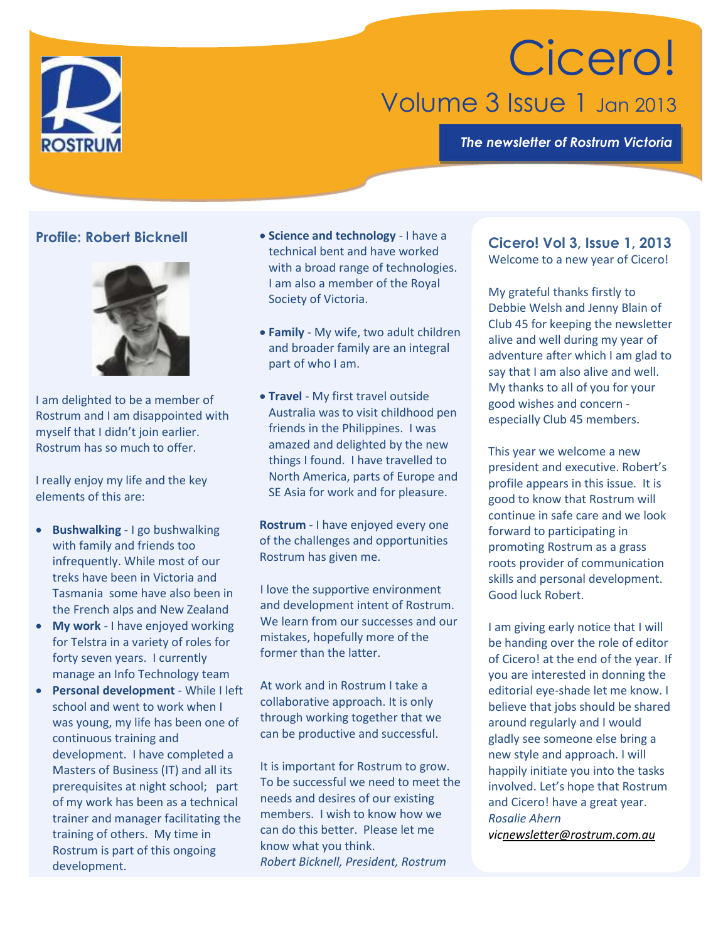

# Cicero! Volume 3 Issue 1 Jan 2013

*The newsletter of Rostrum Victoria*

## **Profile: Robert Bicknell**



I am delighted to be a member of Rostrum and I am disappointed with myself that I didn't join earlier. Rostrum has so much to offer.

I really enjoy my life and the key elements of this are:

- **Bushwalking** I go bushwalking with family and friends too infrequently. While most of our treks have been in Victoria and Tasmania some have also been in the French alps and New Zealand
- **My work** I have enjoyed working for Telstra in a variety of roles for forty seven years. I currently manage an Info Technology team
- **Personal development** While I left school and went to work when I was young, my life has been one of continuous training and development. I have completed a Masters of Business (IT) and all its prerequisites at night school; part of my work has been as a technical trainer and manager facilitating the training of others. My time in Rostrum is part of this ongoing development.
- **Science and technology** I have a technical bent and have worked with a broad range of technologies. I am also a member of the Royal Society of Victoria.
- **Family** My wife, two adult children and broader family are an integral part of who I am.
- **Travel** My first travel outside Australia was to visit childhood pen friends in the Philippines. I was amazed and delighted by the new things I found. I have travelled to North America, parts of Europe and SE Asia for work and for pleasure.

**Rostrum** - I have enjoyed every one of the challenges and opportunities Rostrum has given me.

I love the supportive environment and development intent of Rostrum. We learn from our successes and our mistakes, hopefully more of the former than the latter.

At work and in Rostrum I take a collaborative approach. It is only through working together that we can be productive and successful.

It is important for Rostrum to grow. To be successful we need to meet the needs and desires of our existing members. I wish to know how we can do this better. Please let me know what you think. *Robert Bicknell, President, Rostrum* 

## **Cicero! Vol 3, Issue 1, 2013** Welcome to a new year of Cicero!

My grateful thanks firstly to Debbie Welsh and Jenny Blain of Club 45 for keeping the newsletter alive and well during my year of adventure after which I am glad to say that I am also alive and well. My thanks to all of you for your good wishes and concern especially Club 45 members.

This year we welcome a new president and executive. Robert's profile appears in this issue. It is good to know that Rostrum will continue in safe care and we look forward to participating in promoting Rostrum as a grass roots provider of communication skills and personal development. Good luck Robert.

I am giving early notice that I will be handing over the role of editor of Cicero! at the end of the year. If you are interested in donning the editorial eye-shade let me know. I believe that jobs should be shared around regularly and I would gladly see someone else bring a new style and approach. I will happily initiate you into the tasks involved. Let's hope that Rostrum and Cicero! have a great year. *Rosalie Ahern* 

*vi[cnewsletter@rostrum.com.au](mailto:newsletter@rostrum.com.au)*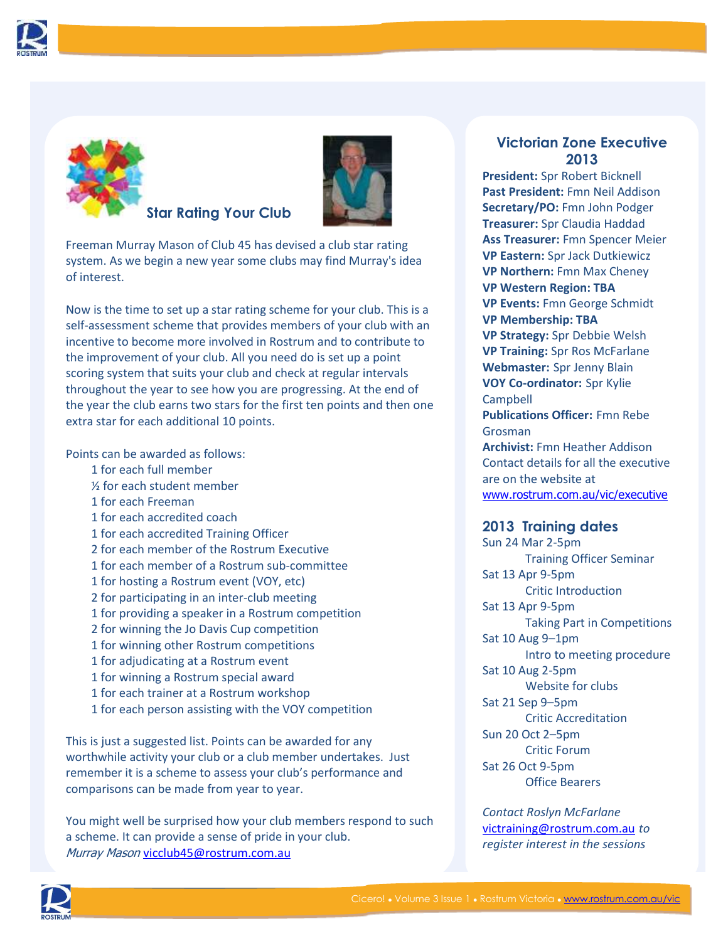



**Star Rating Your Club**



Freeman Murray Mason of Club 45 has devised a club star rating system. As we begin a new year some clubs may find Murray's idea of interest.

Now is the time to set up a star rating scheme for your club. This is a self-assessment scheme that provides members of your club with an incentive to become more involved in Rostrum and to contribute to the improvement of your club. All you need do is set up a point scoring system that suits your club and check at regular intervals throughout the year to see how you are progressing. At the end of the year the club earns two stars for the first ten points and then one extra star for each additional 10 points.

Points can be awarded as follows:

- 1 for each full member
- ½ for each student member
- 1 for each Freeman
- 1 for each accredited coach
- 1 for each accredited Training Officer
- 2 for each member of the Rostrum Executive
- 1 for each member of a Rostrum sub-committee
- 1 for hosting a Rostrum event (VOY, etc)
- 2 for participating in an inter-club meeting
- 1 for providing a speaker in a Rostrum competition
- 2 for winning the Jo Davis Cup competition
- 1 for winning other Rostrum competitions
- 1 for adjudicating at a Rostrum event
- 1 for winning a Rostrum special award
- 1 for each trainer at a Rostrum workshop
- 1 for each person assisting with the VOY competition

This is just a suggested list. Points can be awarded for any worthwhile activity your club or a club member undertakes. Just remember it is a scheme to assess your club's performance and comparisons can be made from year to year.

You might well be surprised how your club members respond to such a scheme. It can provide a sense of pride in your club. Murray Mason [vicclub45@rostrum.com.au](mailto:vicclub45@rostrum.com.au)

# **Victorian Zone Executive 2013**

**President:** Spr Robert Bicknell **Past President:** Fmn Neil Addison **Secretary/PO:** Fmn John Podger **Treasurer:** Spr Claudia Haddad **Ass Treasurer:** Fmn Spencer Meier **VP Eastern:** Spr Jack Dutkiewicz **VP Northern:** Fmn Max Cheney **VP Western Region: TBA VP Events:** Fmn George Schmidt **VP Membership: TBA VP Strategy:** Spr Debbie Welsh **VP Training:** Spr Ros McFarlane **Webmaster:** Spr Jenny Blain **VOY Co-ordinator:** Spr Kylie **Campbell Publications Officer:** Fmn Rebe Grosman **Archivist:** Fmn Heather Addison Contact details for all the executive are on the website at

[www.rostrum.com.au/vic/executive](http://www.rostrum.com.au/vic/executive)

### **2013 Training dates**

Sun 24 Mar 2-5pm Training Officer Seminar Sat 13 Apr 9-5pm Critic Introduction Sat 13 Apr 9-5pm Taking Part in Competitions Sat 10 Aug 9–1pm Intro to meeting procedure Sat 10 Aug 2-5pm Website for clubs Sat 21 Sep 9–5pm Critic Accreditation Sun 20 Oct 2–5pm Critic Forum Sat 26 Oct 9-5pm Office Bearers

*Contact Roslyn McFarlane*  victraining@rostrum.com.au *to register interest in the sessions*